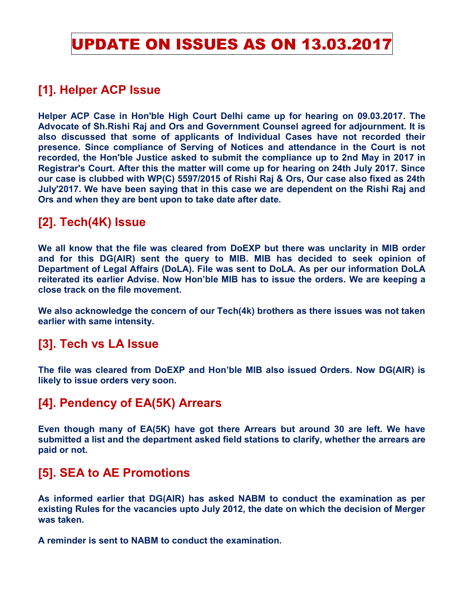## UPDATE ON ISSUES AS ON 13.03.2017

## **[1]. Helper ACP Issue**

**Helper ACP Case in Hon'ble High Court Delhi came up for hearing on 09.03.2017. The Advocate of Sh.Rishi Raj and Ors and Government Counsel agreed for adjournment. It is also discussed that some of applicants of Individual Cases have not recorded their presence. Since compliance of Serving of Notices and attendance in the Court is not recorded, the Hon'ble Justice asked to submit the compliance up to 2nd May in 2017 in Registrar's Court. After this the matter will come up for hearing on 24th July 2017. Since our case is clubbed with WP(C) 5597/2015 of Rishi Raj & Ors, Our case also fixed as 24th July'2017. We have been saying that in this case we are dependent on the Rishi Raj and Ors and when they are bent upon to take date after date.** 

## **[2]. Tech(4K) Issue**

**We all know that the file was cleared from DoEXP but there was unclarity in MIB order and for this DG(AIR) sent the query to MIB. MIB has decided to seek opinion of Department of Legal Affairs (DoLA). File was sent to DoLA. As per our information DoLA reiterated its earlier Advise. Now Hon'ble MIB has to issue the orders. We are keeping a close track on the file movement.** 

**We also acknowledge the concern of our Tech(4k) brothers as there issues was not taken earlier with same intensity.** 

#### **[3]. Tech vs LA Issue**

**The file was cleared from DoEXP and Hon'ble MIB also issued Orders. Now DG(AIR) is likely to issue orders very soon.** 

## **[4]. Pendency of EA(5K) Arrears**

**Even though many of EA(5K) have got there Arrears but around 30 are left. We have submitted a list and the department asked field stations to clarify, whether the arrears are paid or not.** 

#### **[5]. SEA to AE Promotions**

**As informed earlier that DG(AIR) has asked NABM to conduct the examination as per existing Rules for the vacancies upto July 2012, the date on which the decision of Merger was taken.** 

**A reminder is sent to NABM to conduct the examination.**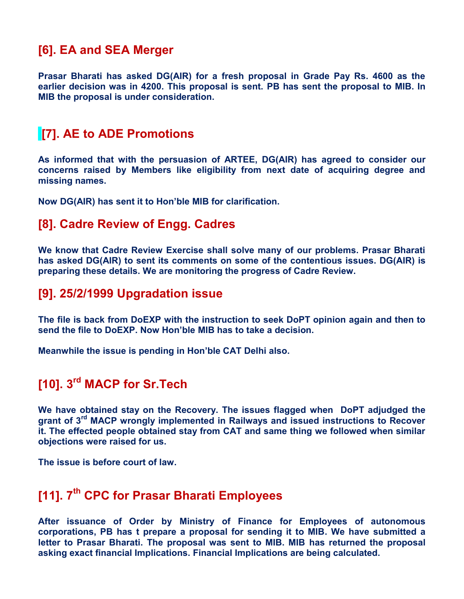### **[6]. EA and SEA Merger**

**Prasar Bharati has asked DG(AIR) for a fresh proposal in Grade Pay Rs. 4600 as the earlier decision was in 4200. This proposal is sent. PB has sent the proposal to MIB. In MIB the proposal is under consideration.** 

## **[7]. AE to ADE Promotions**

**As informed that with the persuasion of ARTEE, DG(AIR) has agreed to consider our concerns raised by Members like eligibility from next date of acquiring degree and missing names.** 

**Now DG(AIR) has sent it to Hon'ble MIB for clarification.**

#### **[8]. Cadre Review of Engg. Cadres**

**We know that Cadre Review Exercise shall solve many of our problems. Prasar Bharati has asked DG(AIR) to sent its comments on some of the contentious issues. DG(AIR) is preparing these details. We are monitoring the progress of Cadre Review.** 

#### **[9]. 25/2/1999 Upgradation issue**

**The file is back from DoEXP with the instruction to seek DoPT opinion again and then to send the file to DoEXP. Now Hon'ble MIB has to take a decision.** 

**Meanwhile the issue is pending in Hon'ble CAT Delhi also.**

## **[10]. 3rd MACP for Sr.Tech**

**We have obtained stay on the Recovery. The issues flagged when DoPT adjudged the grant of 3rd MACP wrongly implemented in Railways and issued instructions to Recover it. The effected people obtained stay from CAT and same thing we followed when similar objections were raised for us.** 

**The issue is before court of law.** 

## **[11]. 7th CPC for Prasar Bharati Employees**

**After issuance of Order by Ministry of Finance for Employees of autonomous corporations, PB has t prepare a proposal for sending it to MIB. We have submitted a letter to Prasar Bharati. The proposal was sent to MIB. MIB has returned the proposal asking exact financial Implications. Financial Implications are being calculated.**